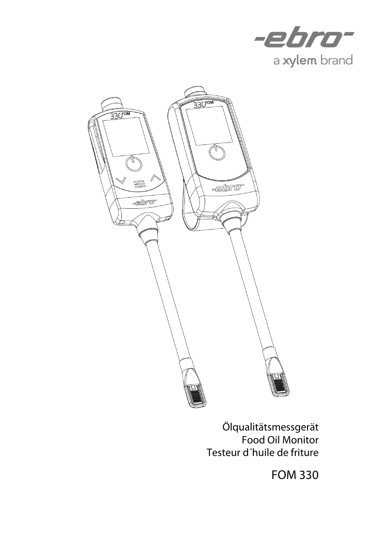



Ölqualitätsmessgerät Food Oil Monitor Testeur d´huile de friture

FOM 330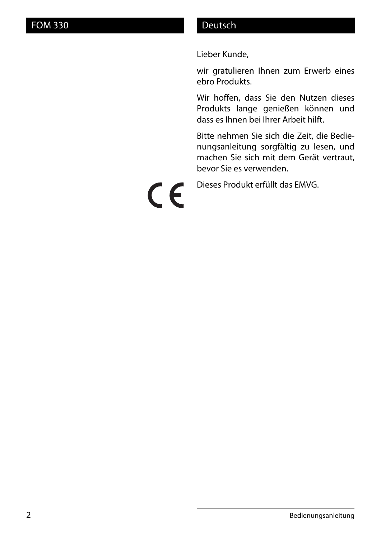Lieber Kunde,

wir gratulieren Ihnen zum Erwerb eines ebro Produkts.

Wir hoffen, dass Sie den Nutzen dieses Produkts lange genießen können und dass es Ihnen bei Ihrer Arbeit hilft.

Bitte nehmen Sie sich die Zeit, die Bedienungsanleitung sorgfältig zu lesen, und machen Sie sich mit dem Gerät vertraut, bevor Sie es verwenden.

Dieses Produkt erfüllt das EMVG.

CE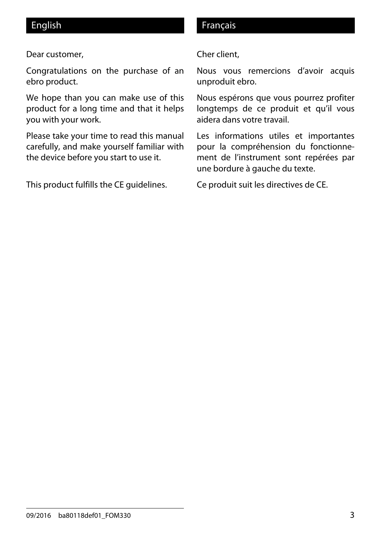#### Dear customer,

Congratulations on the purchase of an ebro product.

We hope than you can make use of this product for a long time and that it helps you with your work.

Please take your time to read this manual carefully, and make yourself familiar with the device before you start to use it.

This product fulfills the CE guidelines.

#### English **Français**

#### Cher client,

Nous vous remercions d'avoir acquis unproduit ebro.

Nous espérons que vous pourrez profiter longtemps de ce produit et qu'il vous aidera dans votre travail.

Les informations utiles et importantes pour la compréhension du fonctionnement de l'instrument sont repérées par une bordure à gauche du texte.

Ce produit suit les directives de CE.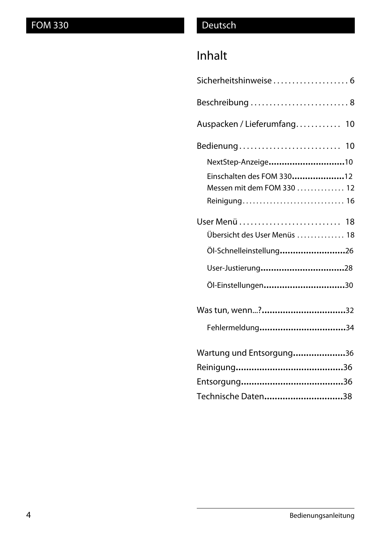# Inhalt

| Sicherheitshinweise 6        |
|------------------------------|
| Beschreibung  8              |
| Auspacken / Lieferumfang 10  |
| Bedienung 10                 |
| NextStep-Anzeige10           |
| Einschalten des FOM 33012    |
| Messen mit dem FOM 330  12   |
| Reinigung 16                 |
|                              |
| Übersicht des User Menüs  18 |
| Öl-Schnelleinstellung26      |
| User-Justierung28            |
| Öl-Einstellungen30           |
|                              |
| Fehlermeldung34              |
| Wartung und Entsorgung36     |
|                              |
|                              |
| Technische Daten38           |
|                              |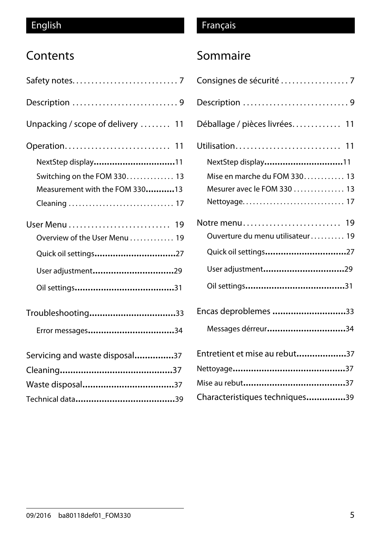# **Contents**

| Description 9                     |
|-----------------------------------|
| Unpacking / scope of delivery  11 |
| Operation 11                      |
| NextStep display11                |
| Switching on the FOM 330 13       |
| Measurement with the FOM 33013    |
|                                   |
|                                   |
| Overview of the User Menu 19      |
| Quick oil settings27              |
| User adjustment29                 |
|                                   |
| Troubleshooting33                 |
|                                   |
| Servicing and waste disposal37    |
|                                   |
| Waste disposal37                  |
|                                   |

# English Français

# Sommaire

| Consignes de sécurité 7          |
|----------------------------------|
| Description 9                    |
| Déballage / pièces livrées 11    |
| Utilisation 11                   |
| NextStep display11               |
| Mise en marche du FOM 330 13     |
| Mesurer avec le FOM 330  13      |
| Nettoyage 17                     |
| Notre menu 19                    |
| Ouverture du menu utilisateur 19 |
| Quick oil settings27             |
| User adjustment29                |
|                                  |
| Encas deproblemes 33             |
| Messages dérreur34               |
| Entretient et mise au rebut37    |
|                                  |
|                                  |
| Characteristiques techniques39   |
|                                  |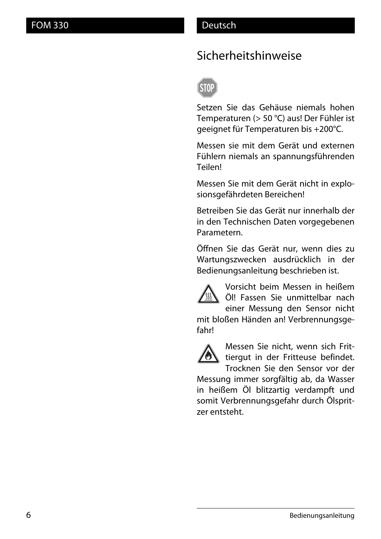# Sicherheitshinweise



Setzen Sie das Gehäuse niemals hohen Temperaturen (> 50 °C) aus! Der Fühler ist geeignet für Temperaturen bis +200°C.

Messen sie mit dem Gerät und externen Fühlern niemals an spannungsführenden Teilen!

Messen Sie mit dem Gerät nicht in explosionsgefährdeten Bereichen!

Betreiben Sie das Gerät nur innerhalb der in den Technischen Daten vorgegebenen Parametern.

Öffnen Sie das Gerät nur, wenn dies zu Wartungszwecken ausdrücklich in der Bedienungsanleitung beschrieben ist.



Vorsicht beim Messen in heißem Öl! Fassen Sie unmittelbar nach einer Messung den Sensor nicht

mit bloßen Händen an! Verbrennungsgefahr!



Messen Sie nicht, wenn sich Frittiergut in der Fritteuse befindet. Trocknen Sie den Sensor vor der

Messung immer sorgfältig ab, da Wasser in heißem Öl blitzartig verdampft und somit Verbrennungsgefahr durch Ölspritzer entsteht.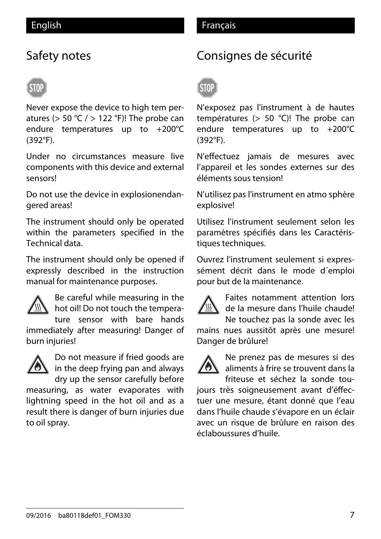# Safety notes

Never expose the device to high tem peratures ( $> 50$  °C  $/$   $> 122$  °F)! The probe can endure temperatures up to +200°C (392°F).

Under no circumstances measure live components with this device and external sensors!

Do not use the device in explosionendangered areas!

The instrument should only be operated within the parameters specified in the Technical data.

The instrument should only be opened if expressly described in the instruction manual for maintenance purposes.



Be careful while measuring in the hot oil! Do not touch the tempera-

ture sensor with bare hands immediately after measuring! Danger of burn injuries!



Do not measure if fried goods are in the deep frying pan and always dry up the sensor carefully before

measuring, as water evaporates with lightning speed in the hot oil and as a result there is danger of burn injuries due to oil spray.

# Consignes de sécurité



N'exposez pas l'instrument à de hautes températures (> 50 °C)! The probe can endure temperatures up to +200°C (392°F).

N'effectuez jamais de mesures avec l'appareil et les sondes externes sur des éléments sous tension!

N'utilisez pas l'instrument en atmo sphère explosive!

Utilisez l'instrument seulement selon les paramètres spécifiés dans les Caractéristiques techniques.

Ouvrez l'instrument seulement si expressément décrit dans le mode d´emploi pour but de la maintenance.



Faites notamment attention lors de la mesure dans l'huile chaude! Ne touchez pas la sonde avec les

mains nues aussitôt après une mesure! Danger de brûlure!



Ne prenez pas de mesures si des aliments à frire se trouvent dans la friteuse et séchez la sonde tou-

jours très soigneusement avant d'éffectuer une mesure, étant donné que l'eau dans l'huile chaude s'évapore en un éclair avec un risque de brûlure en raison des éclaboussures d'huile.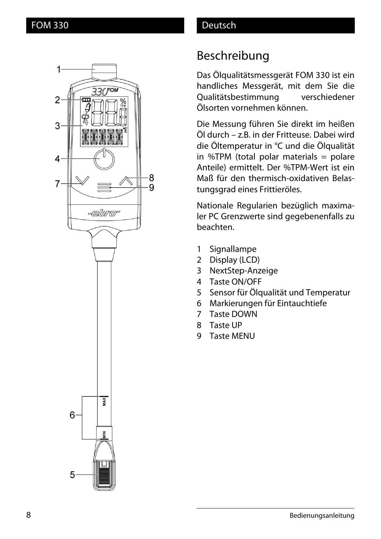

# Beschreibung

Das Ölqualitätsmessgerät FOM 330 ist ein handliches Messgerät, mit dem Sie die Qualitätsbestimmung verschiedener Ölsorten vornehmen können.

Die Messung führen Sie direkt im heißen Öl durch – z.B. in der Fritteuse. Dabei wird die Öltemperatur in °C und die Ölqualität in %TPM (total polar materials  $=$  polare Anteile) ermittelt. Der %TPM-Wert ist ein Maß für den thermisch-oxidativen Belastungsgrad eines Frittieröles.

Nationale Regularien bezüglich maximaler PC Grenzwerte sind gegebenenfalls zu beachten.

- 1 Signallampe
- 2 Display (LCD)
- 3 NextStep-Anzeige
- 4 Taste ON/OFF
- 5 Sensor für Ölqualität und Temperatur
- 6 Markierungen für Eintauchtiefe
- 7 Taste DOWN
- 8 Taste UP
- 9 Taste MENU





8

٠9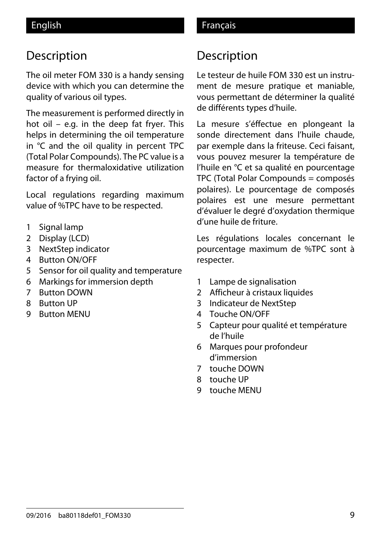# Description

The oil meter FOM 330 is a handy sensing device with which you can determine the quality of various oil types.

The measurement is performed directly in hot oil – e.g. in the deep fat fryer. This helps in determining the oil temperature in °C and the oil quality in percent TPC (Total Polar Compounds). The PC value is a measure for thermaloxidative utilization factor of a frying oil.

Local regulations regarding maximum value of %TPC have to be respected.

- 1 Signal lamp
- 2 Display (LCD)
- 3 NextStep indicator
- 4 Button ON/OFF
- 5 Sensor for oil quality and temperature
- 6 Markings for immersion depth
- 7 Button DOWN
- 8 Button UP
- 9 Button MENU

# Description

Le testeur de huile FOM 330 est un instrument de mesure pratique et maniable, vous permettant de déterminer la qualité de différents types d'huile.

La mesure s'éffectue en plongeant la sonde directement dans l'huile chaude, par exemple dans la friteuse. Ceci faisant, vous pouvez mesurer la température de l'huile en °C et sa qualité en pourcentage TPC (Total Polar Compounds = composés polaires). Le pourcentage de composés polaires est une mesure permettant d'évaluer le degré d'oxydation thermique d'une huile de friture.

Les régulations locales concernant le pourcentage maximum de %TPC sont à respecter.

- 1 Lampe de signalisation
- 2 Afficheur à cristaux liquides
- 3 Indicateur de NextStep
- 4 Touche ON/OFF
- 5 Capteur pour qualité et température de l'huile
- 6 Marques pour profondeur d'immersion
- 7 touche DOWN
- 8 touche UP
- 9 touche MENU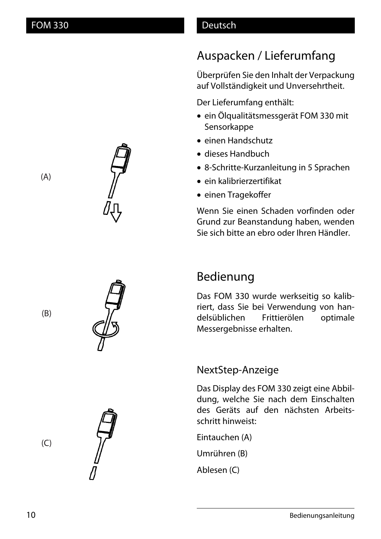# Auspacken / Lieferumfang

Überprüfen Sie den Inhalt der Verpackung auf Vollständigkeit und Unversehrtheit.

Der Lieferumfang enthält:

- ein Ölqualitätsmessgerät FOM 330 mit Sensorkappe
- einen Handschutz
- dieses Handbuch
- 8-Schritte-Kurzanleitung in 5 Sprachen
- ein kalibrierzertifikat
- einen Tragekoffer

Wenn Sie einen Schaden vorfinden oder Grund zur Beanstandung haben, wenden Sie sich bitte an ebro oder Ihren Händler.



# Bedienung

Das FOM 330 wurde werkseitig so kalibriert, dass Sie bei Verwendung von handelsüblichen Frittierölen optimale Messergebnisse erhalten.

## NextStep-Anzeige

Das Display des FOM 330 zeigt eine Abbildung, welche Sie nach dem Einschalten des Geräts auf den nächsten Arbeitsschritt hinweist:

Eintauchen (A)

Umrühren (B)

Ablesen (C)

(B)

(C)

(A)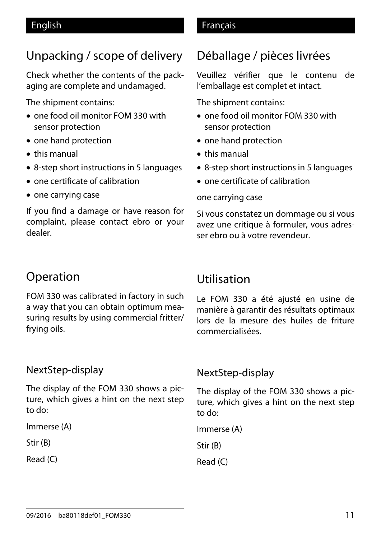### English Français

# Unpacking / scope of delivery

Check whether the contents of the packaging are complete and undamaged.

The shipment contains:

- one food oil monitor FOM 330 with sensor protection
- one hand protection
- $\bullet$  this manual
- 8-step short instructions in 5 languages
- one certificate of calibration
- one carrying case

If you find a damage or have reason for complaint, please contact ebro or your dealer.

# Déballage / pièces livrées

Veuillez vérifier que le contenu de l'emballage est complet et intact.

The shipment contains:

- one food oil monitor FOM 330 with sensor protection
- one hand protection
- $\bullet$  this manual
- 8-step short instructions in 5 languages
- $\bullet$  one certificate of calibration

#### one carrying case

Si vous constatez un dommage ou si vous avez une critique à formuler, vous adresser ebro ou à votre revendeur.

# Operation

FOM 330 was calibrated in factory in such a way that you can obtain optimum measuring results by using commercial fritter/ frying oils.

## NextStep-display

The display of the FOM 330 shows a picture, which gives a hint on the next step to do:

Immerse (A)

Stir (B)

Read (C)

# Utilisation

Le FOM 330 a été ajusté en usine de manière à garantir des résultats optimaux lors de la mesure des huiles de friture commercialisées.

## NextStep-display

The display of the FOM 330 shows a picture, which gives a hint on the next step to do:

Immerse (A)

Stir (B)

Read (C)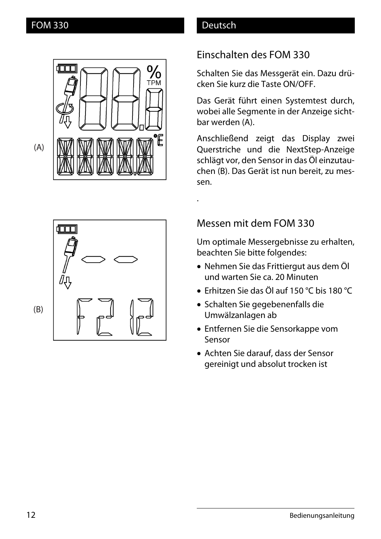



.

## Einschalten des FOM 330

Schalten Sie das Messgerät ein. Dazu drücken Sie kurz die Taste ON/OFF.

Das Gerät führt einen Systemtest durch, wobei alle Segmente in der Anzeige sichtbar werden (A).

Anschließend zeigt das Display zwei Querstriche und die NextStep-Anzeige schlägt vor, den Sensor in das Öl einzutauchen (B). Das Gerät ist nun bereit, zu messen.

Messen mit dem FOM 330

Um optimale Messergebnisse zu erhalten, beachten Sie bitte folgendes:

- x Nehmen Sie das Frittiergut aus dem Öl und warten Sie ca. 20 Minuten
- Erhitzen Sie das Öl auf 150 °C bis 180 °C
- Schalten Sie gegebenenfalls die Umwälzanlagen ab
- Entfernen Sie die Sensorkappe vom Sensor
- Achten Sie darauf, dass der Sensor gereinigt und absolut trocken ist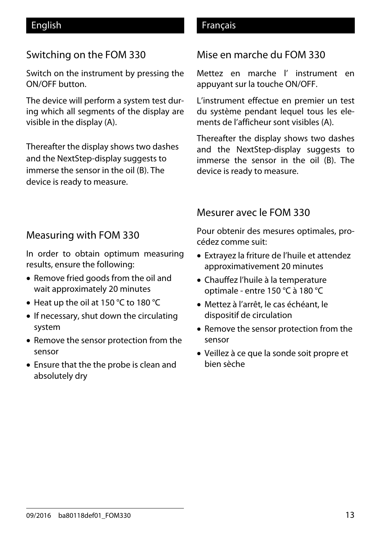## Switching on the FOM 330

Switch on the instrument by pressing the ON/OFF button.

The device will perform a system test during which all segments of the display are visible in the display (A).

Thereafter the display shows two dashes and the NextStep-display suggests to immerse the sensor in the oil (B). The device is ready to measure.

## English **Français**

## Mise en marche du FOM 330

Mettez en marche l' instrument en appuyant sur la touche ON/OFF.

L'instrument effectue en premier un test du système pendant lequel tous les elements de l'afficheur sont visibles (A).

Thereafter the display shows two dashes and the NextStep-display suggests to immerse the sensor in the oil (B). The device is ready to measure.

# Mesurer avec le FOM 330

Pour obtenir des mesures optimales, procédez comme suit:

- Extravez la friture de l'huile et attendez approximativement 20 minutes
- Chauffez l'huile à la temperature optimale - entre 150 °C à 180 °C
- x Mettez à l'arrêt, le cas échéant, le dispositif de circulation
- Remove the sensor protection from the sensor
- Veillez à ce que la sonde soit propre et bien sèche

## Measuring with FOM 330

In order to obtain optimum measuring results, ensure the following:

- Remove fried goods from the oil and wait approximately 20 minutes
- Heat up the oil at 150  $\degree$ C to 180  $\degree$ C
- If necessary, shut down the circulating system
- Remove the sensor protection from the sensor
- Ensure that the the probe is clean and absolutely dry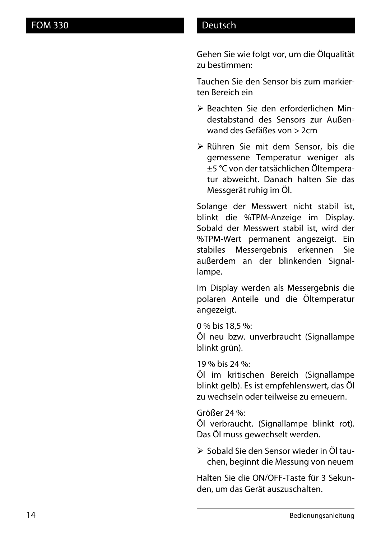Gehen Sie wie folgt vor, um die Ölqualität zu bestimmen:

Tauchen Sie den Sensor bis zum markierten Bereich ein

- ¾ Beachten Sie den erforderlichen Mindestabstand des Sensors zur Außenwand des Gefäßes von > 2cm
- ¾ Rühren Sie mit dem Sensor, bis die gemessene Temperatur weniger als ±5 °C von der tatsächlichen Öltemperatur abweicht. Danach halten Sie das Messgerät ruhig im Öl.

Solange der Messwert nicht stabil ist, blinkt die %TPM-Anzeige im Display. Sobald der Messwert stabil ist, wird der %TPM-Wert permanent angezeigt. Ein stabiles Messergebnis erkennen Sie außerdem an der blinkenden Signallampe.

Im Display werden als Messergebnis die polaren Anteile und die Öltemperatur angezeigt.

0 % bis 18,5 %:

Öl neu bzw. unverbraucht (Signallampe blinkt grün).

19 % bis 24 %:

Öl im kritischen Bereich (Signallampe blinkt gelb). Es ist empfehlenswert, das Öl zu wechseln oder teilweise zu erneuern.

Größer 24 %:

Öl verbraucht. (Signallampe blinkt rot). Das Öl muss gewechselt werden.

¾ Sobald Sie den Sensor wieder in Öl tauchen, beginnt die Messung von neuem

Halten Sie die ON/OFF-Taste für 3 Sekunden, um das Gerät auszuschalten.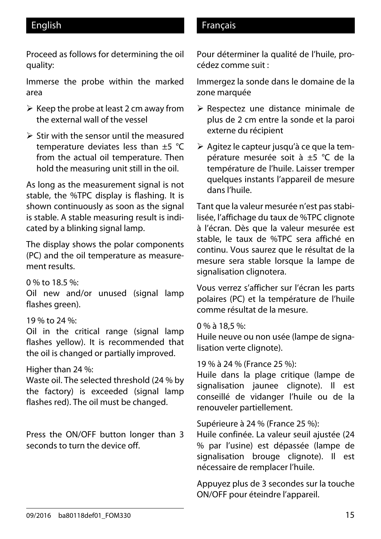Proceed as follows for determining the oil quality:

Immerse the probe within the marked area

- $\triangleright$  Keep the probe at least 2 cm away from the external wall of the vessel
- $\triangleright$  Stir with the sensor until the measured temperature deviates less than  $\pm 5$  °C from the actual oil temperature. Then hold the measuring unit still in the oil.

As long as the measurement signal is not stable, the %TPC display is flashing. It is shown continuously as soon as the signal is stable. A stable measuring result is indicated by a blinking signal lamp.

The display shows the polar components (PC) and the oil temperature as measurement results.

0 % to 18.5 %:

Oil new and/or unused (signal lamp flashes green).

### 19 % to 24 %:

Oil in the critical range (signal lamp flashes yellow). It is recommended that the oil is changed or partially improved.

### Higher than 24 %:

Waste oil. The selected threshold (24 % by the factory) is exceeded (signal lamp flashes red). The oil must be changed.

Press the ON/OFF button longer than 3 seconds to turn the device off.

### English **Français**

Pour déterminer la qualité de l'huile, procédez comme suit :

Immergez la sonde dans le domaine de la zone marquée

- ¾ Respectez une distance minimale de plus de 2 cm entre la sonde et la paroi externe du récipient
- ¾ Agitez le capteur jusqu'à ce que la température mesurée soit à ±5 °C de la température de l'huile. Laisser tremper quelques instants l'appareil de mesure dans l'huile.

Tant que la valeur mesurée n'est pas stabilisée, l'affichage du taux de %TPC clignote à l'écran. Dès que la valeur mesurée est stable, le taux de %TPC sera affiché en continu. Vous saurez que le résultat de la mesure sera stable lorsque la lampe de signalisation clignotera.

Vous verrez s'afficher sur l'écran les parts polaires (PC) et la température de l'huile comme résultat de la mesure.

#### 0 % à 18,5 %:

Huile neuve ou non usée (lampe de signalisation verte clignote).

#### 19 % à 24 % (France 25 %):

Huile dans la plage critique (lampe de signalisation jaunee clignote). Il est conseillé de vidanger l'huile ou de la renouveler partiellement.

#### Supérieure à 24 % (France 25 %):

Huile confinée. La valeur seuil ajustée (24 % par l'usine) est dépassée (lampe de signalisation brouge clignote). Il est nécessaire de remplacer l'huile.

Appuyez plus de 3 secondes sur la touche ON/OFF pour éteindre l'appareil.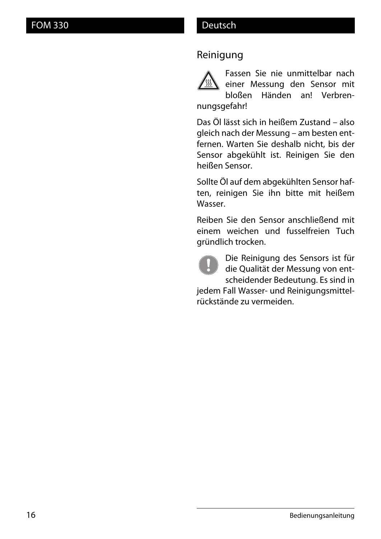## Reinigung



Fassen Sie nie unmittelbar nach einer Messung den Sensor mit bloßen Händen an! Verbren-

nungsgefahr!

Das Öl lässt sich in heißem Zustand – also gleich nach der Messung – am besten entfernen. Warten Sie deshalb nicht, bis der Sensor abgekühlt ist. Reinigen Sie den heißen Sensor.

Sollte Öl auf dem abgekühlten Sensor haften, reinigen Sie ihn bitte mit heißem Wasser.

Reiben Sie den Sensor anschließend mit einem weichen und fusselfreien Tuch gründlich trocken.



Die Reinigung des Sensors ist für die Qualität der Messung von entscheidender Bedeutung. Es sind in

jedem Fall Wasser- und Reinigungsmittelrückstände zu vermeiden.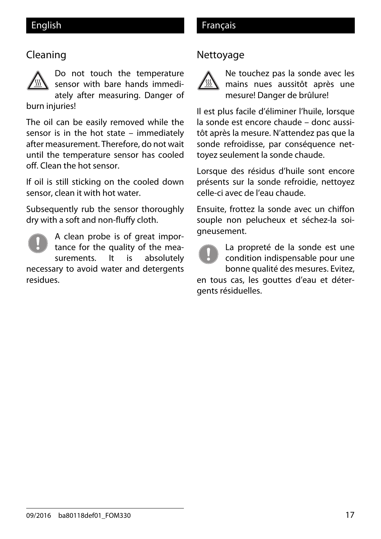### English **Français**

## Cleaning



Do not touch the temperature sensor with bare hands immediately after measuring. Danger of

burn injuries!

The oil can be easily removed while the sensor is in the hot state – immediately after measurement. Therefore, do not wait until the temperature sensor has cooled off. Clean the hot sensor.

If oil is still sticking on the cooled down sensor, clean it with hot water.

Subsequently rub the sensor thoroughly dry with a soft and non-fluffy cloth.



A clean probe is of great importance for the quality of the measurements. It is absolutely necessary to avoid water and detergents residues.

# Nettoyage



Ne touchez pas la sonde avec les mains nues aussitôt après une mesure! Danger de brûlure!

Il est plus facile d'éliminer l'huile, lorsque la sonde est encore chaude – donc aussitôt après la mesure. N'attendez pas que la sonde refroidisse, par conséquence nettoyez seulement la sonde chaude.

Lorsque des résidus d'huile sont encore présents sur la sonde refroidie, nettoyez celle-ci avec de l'eau chaude.

Ensuite, frottez la sonde avec un chiffon souple non pelucheux et séchez-la soigneusement.

La propreté de la sonde est une condition indispensable pour une bonne qualité des mesures. Evitez,

en tous cas, les gouttes d'eau et détergents résiduelles.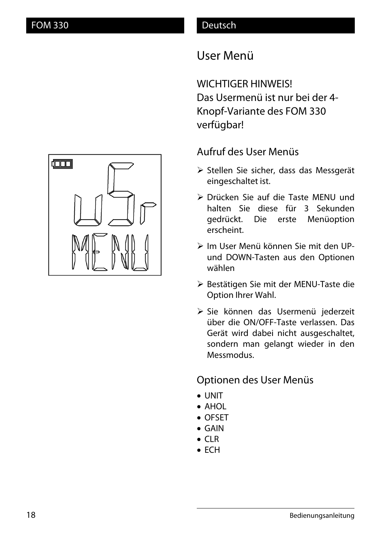# User Menü

WICHTIGER HINWEIS! Das Usermenü ist nur bei der 4- Knopf-Variante des FOM 330 verfügbar!

## Aufruf des User Menüs

- ¾ Stellen Sie sicher, dass das Messgerät eingeschaltet ist.
- ¾ Drücken Sie auf die Taste MENU und halten Sie diese für 3 Sekunden gedrückt. Die erste Menüoption erscheint.
- ¾ Im User Menü können Sie mit den UPund DOWN-Tasten aus den Optionen wählen
- ¾ Bestätigen Sie mit der MENU-Taste die Option Ihrer Wahl.
- ¾ Sie können das Usermenü jederzeit über die ON/OFF-Taste verlassen. Das Gerät wird dabei nicht ausgeschaltet, sondern man gelangt wieder in den Messmodus.

## Optionen des User Menüs

- UNIT
- $\bullet$  AHOL
- OFSFT
- $\bullet$  GAIN
- $\bullet$  CLR
- $\bullet$  ECH

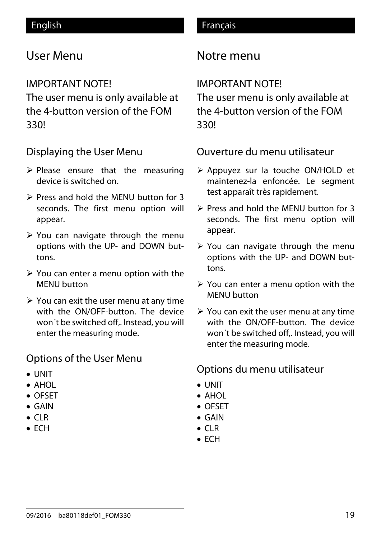# User Menu

## IMPORTANT NOTE!

The user menu is only available at the 4-button version of the FOM 330!

## Displaying the User Menu

- $\triangleright$  Please ensure that the measuring device is switched on.
- $\triangleright$  Press and hold the MENU button for 3 seconds. The first menu option will appear.
- $\triangleright$  You can navigate through the menu options with the UP- and DOWN buttons.
- $\triangleright$  You can enter a menu option with the MENU button
- $\triangleright$  You can exit the user menu at any time with the ON/OFF-button. The device won´t be switched off,. Instead, you will enter the measuring mode.

## Options of the User Menu

- UNIT
- $\bullet$  AHOL
- OFSET
- $\bullet$  GAIN
- $\bullet$  CLR
- $\bullet$  ECH

# Notre menu

# IMPORTANT NOTE!

The user menu is only available at the 4-button version of the FOM 330!

Ouverture du menu utilisateur

- ¾ Appuyez sur la touche ON/HOLD et maintenez-la enfoncée. Le segment test apparaît très rapidement.
- $\triangleright$  Press and hold the MENU button for 3 seconds. The first menu option will appear.
- $\triangleright$  You can navigate through the menu options with the UP- and DOWN buttons.
- $\triangleright$  You can enter a menu option with the MENU button
- $\triangleright$  You can exit the user menu at any time with the ON/OFF-button. The device won´t be switched off,. Instead, you will enter the measuring mode.

## Options du menu utilisateur

- UNIT
- $\bullet$  AHOL
- OFSET
- $\bullet$  GAIN
- $\bullet$  CLR
- $\bullet$  FCH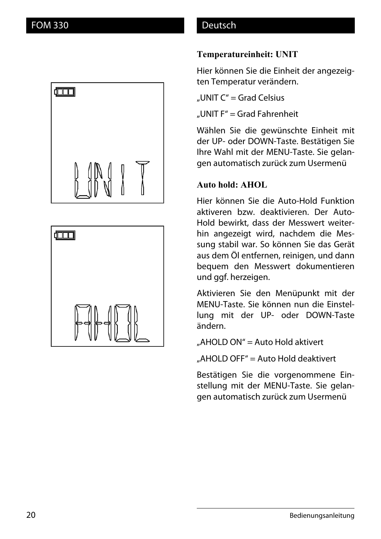



#### **Temperatureinheit: UNIT**

Hier können Sie die Einheit der angezeigten Temperatur verändern.

"UNIT  $C'' =$  Grad Celsius

"UNIT F" = Grad Fahrenheit

Wählen Sie die gewünschte Einheit mit der UP- oder DOWN-Taste. Bestätigen Sie Ihre Wahl mit der MENU-Taste. Sie gelangen automatisch zurück zum Usermenü

#### **Auto hold: AHOL**

Hier können Sie die Auto-Hold Funktion aktiveren bzw. deaktivieren. Der Auto-Hold bewirkt, dass der Messwert weiterhin angezeigt wird, nachdem die Messung stabil war. So können Sie das Gerät aus dem Öl entfernen, reinigen, und dann bequem den Messwert dokumentieren und ggf. herzeigen.

Aktivieren Sie den Menüpunkt mit der MENU-Taste. Sie können nun die Einstellung mit der UP- oder DOWN-Taste ändern.

"AHOLD ON" = Auto Hold aktivert

 $\mu$ AHOLD OFF" = Auto Hold deaktivert

Bestätigen Sie die vorgenommene Einstellung mit der MENU-Taste. Sie gelangen automatisch zurück zum Usermenü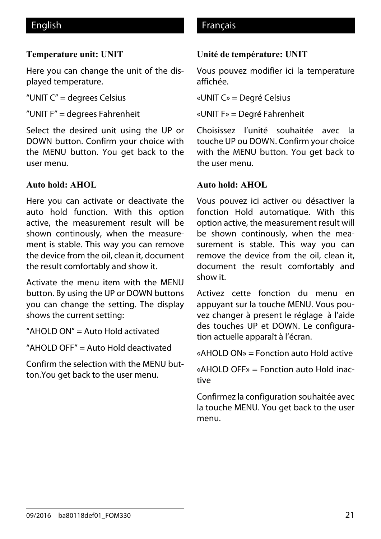#### **Temperature unit: UNIT**

Here you can change the unit of the displayed temperature.

"UNIT C" = degrees Celsius

"UNIT F" = degrees Fahrenheit

Select the desired unit using the UP or DOWN button. Confirm your choice with the MENU button. You get back to the user menu.

#### **Auto hold: AHOL**

Here you can activate or deactivate the auto hold function. With this option active, the measurement result will be shown continously, when the measurement is stable. This way you can remove the device from the oil, clean it, document the result comfortably and show it.

Activate the menu item with the MENU button. By using the UP or DOWN buttons you can change the setting. The display shows the current setting:

"AHOLD ON" = Auto Hold activated

"AHOLD OFF" = Auto Hold deactivated

Confirm the selection with the MENU button.You get back to the user menu.

### English **Français**

#### **Unité de température: UNIT**

Vous pouvez modifier ici la temperature affichée.

«UNIT C» = Degré Celsius

«UNIT F» = Degré Fahrenheit

Choisissez l'unité souhaitée avec la touche UP ou DOWN. Confirm your choice with the MENU button. You get back to the user menu.

#### **Auto hold: AHOL**

Vous pouvez ici activer ou désactiver la fonction Hold automatique. With this option active, the measurement result will be shown continously, when the measurement is stable. This way you can remove the device from the oil, clean it, document the result comfortably and show it.

Activez cette fonction du menu en appuyant sur la touche MENU. Vous pouvez changer à present le réglage à l'aide des touches UP et DOWN. Le configuration actuelle apparaît à l'écran.

«AHOLD ON» = Fonction auto Hold active

«AHOLD OFF» = Fonction auto Hold inactive

Confirmez la configuration souhaitée avec la touche MENU. You get back to the user menu.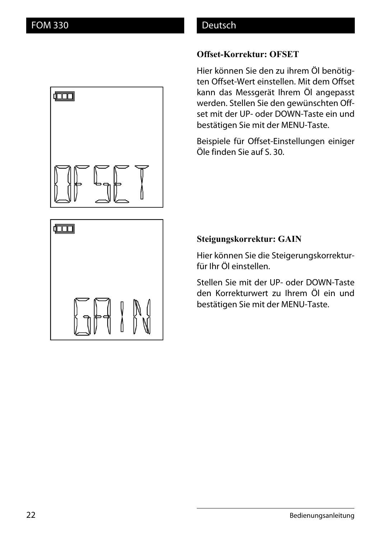$\Box$ 

#### **Offset-Korrektur: OFSET**

Hier können Sie den zu ihrem Öl benötigten Offset-Wert einstellen. Mit dem Offset kann das Messgerät Ihrem Öl angepasst werden. Stellen Sie den gewünschten Offset mit der UP- oder DOWN-Taste ein und bestätigen Sie mit der MENU-Taste.

Beispiele für Offset-Einstellungen einiger Öle finden Sie auf S. 30.



#### **Steigungskorrektur: GAIN**

Hier können Sie die Steigerungskorrekturfür Ihr Öl einstellen.

Stellen Sie mit der UP- oder DOWN-Taste den Korrekturwert zu Ihrem Öl ein und bestätigen Sie mit der MENU-Taste.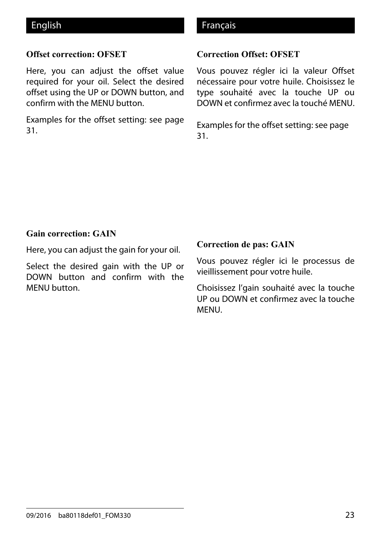#### **Offset correction: OFSET**

Here, you can adjust the offset value required for your oil. Select the desired offset using the UP or DOWN button, and confirm with the MENU button.

Examples for the offset setting: see page 31.

#### English **Français**

#### **Correction Offset: OFSET**

Vous pouvez régler ici la valeur Offset nécessaire pour votre huile. Choisissez le type souhaité avec la touche UP ou DOWN et confirmez avec la touché MENU.

Examples for the offset setting: see page 31.

#### **Gain correction: GAIN**

Here, you can adjust the gain for your oil.

Select the desired gain with the UP or DOWN button and confirm with the MENU button.

#### **Correction de pas: GAIN**

Vous pouvez régler ici le processus de vieillissement pour votre huile.

Choisissez l'gain souhaité avec la touche UP ou DOWN et confirmez avec la touche MENU.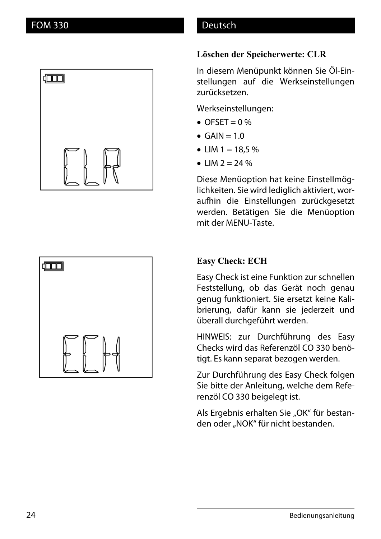



#### **Löschen der Speicherwerte: CLR**

In diesem Menüpunkt können Sie Öl-Einstellungen auf die Werkseinstellungen zurücksetzen.

Werkseinstellungen:

- $\bullet$  OFSET = 0 %
- $\bullet$  GAIN = 1.0
- LIM  $1 = 18.5 \%$
- $\bullet$  IIM 2 = 24 %

Diese Menüoption hat keine Einstellmöglichkeiten. Sie wird lediglich aktiviert, woraufhin die Einstellungen zurückgesetzt werden. Betätigen Sie die Menüoption mit der MENU-Taste.

#### **Easy Check: ECH**

Easy Check ist eine Funktion zur schnellen Feststellung, ob das Gerät noch genau genug funktioniert. Sie ersetzt keine Kalibrierung, dafür kann sie jederzeit und überall durchgeführt werden.

HINWEIS: zur Durchführung des Easy Checks wird das Referenzöl CO 330 benötigt. Es kann separat bezogen werden.

Zur Durchführung des Easy Check folgen Sie bitte der Anleitung, welche dem Referenzöl CO 330 beigelegt ist.

Als Ergebnis erhalten Sie "OK" für bestanden oder "NOK" für nicht bestanden.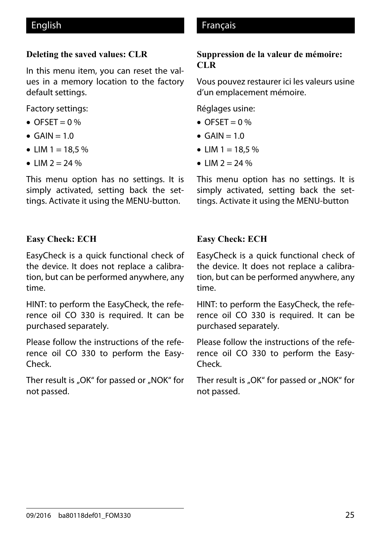#### **Deleting the saved values: CLR**

In this menu item, you can reset the values in a memory location to the factory default settings.

Factory settings:

- $\bullet$  OFSET = 0 %
- $\bullet$  GAIN = 1.0
- LIM  $1 = 18.5 \%$
- $LM 2 = 24 %$

This menu option has no settings. It is simply activated, setting back the settings. Activate it using the MENU-button.

#### **Easy Check: ECH**

EasyCheck is a quick functional check of the device. It does not replace a calibration, but can be performed anywhere, any time.

HINT: to perform the EasyCheck, the reference oil CO 330 is required. It can be purchased separately.

Please follow the instructions of the reference oil CO 330 to perform the Easy-Check.

Ther result is "OK" for passed or "NOK" for not passed.

### English **Français**

#### **Suppression de la valeur de mémoire: CLR**

Vous pouvez restaurer ici les valeurs usine d'un emplacement mémoire.

Réglages usine:

- $\bullet$  OFSET = 0 %
- $\bullet$  GAIN = 1.0
- LIM  $1 = 18.5 \%$
- $\bullet$  IIM 2 = 24 %

This menu option has no settings. It is simply activated, setting back the settings. Activate it using the MENU-button

#### **Easy Check: ECH**

EasyCheck is a quick functional check of the device. It does not replace a calibration, but can be performed anywhere, any time.

HINT: to perform the EasyCheck, the reference oil CO 330 is required. It can be purchased separately.

Please follow the instructions of the reference oil CO 330 to perform the Easy-Check.

Ther result is "OK" for passed or "NOK" for not passed.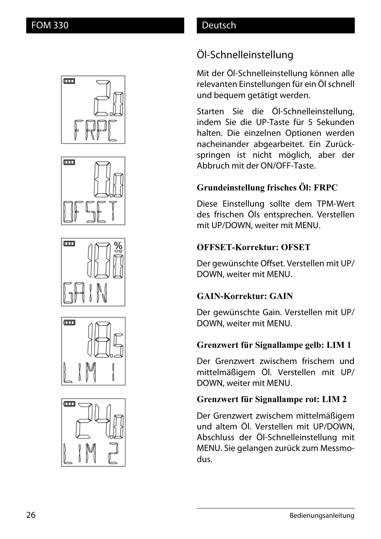## Öl-Schnelleinstellung

Mit der Öl-Schnelleinstellung können alle relevanten Einstellungen für ein Öl schnell und bequem getätigt werden.

Starten Sie die Öl-Schnelleinstellung, indem Sie die UP-Taste für 5 Sekunden halten. Die einzelnen Optionen werden nacheinander abgearbeitet. Ein Zurückspringen ist nicht möglich, aber der Abbruch mit der ON/OFF-Taste.

## **Grundeinstellung frisches Öl: FRPC**

Diese Einstellung sollte dem TPM-Wert des frischen Öls entsprechen. Verstellen mit UP/DOWN, weiter mit MENU.

### **OFFSET-Korrektur: OFSET**

Der gewünschte Offset. Verstellen mit UP/ DOWN, weiter mit MENU.

## **GAIN-Korrektur: GAIN**

Der gewünschte Gain. Verstellen mit UP/ DOWN, weiter mit MENU.

### **Grenzwert für Signallampe gelb: LIM 1**

Der Grenzwert zwischem frischem und mittelmäßigem Öl. Verstellen mit UP/ DOWN, weiter mit MENU.

## **Grenzwert für Signallampe rot: LIM 2**

Der Grenzwert zwischem mittelmäßigem und altem Öl. Verstellen mit UP/DOWN, Abschluss der Öl-Schnelleinstellung mit MENU. Sie gelangen zurück zum Messmodus.









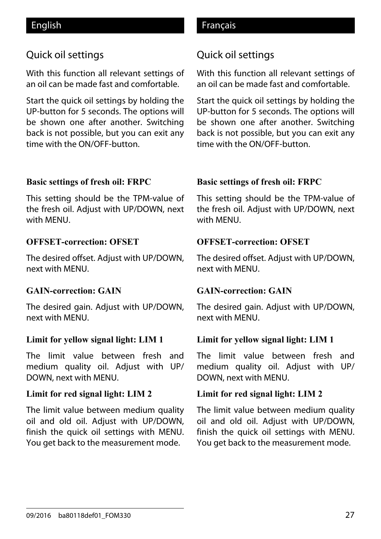## Quick oil settings

With this function all relevant settings of an oil can be made fast and comfortable.

Start the quick oil settings by holding the UP-button for 5 seconds. The options will be shown one after another. Switching back is not possible, but you can exit any time with the ON/OFF-button.

#### **Basic settings of fresh oil: FRPC**

This setting should be the TPM-value of the fresh oil. Adjust with UP/DOWN, next with MENU.

#### **OFFSET-correction: OFSET**

The desired offset. Adjust with UP/DOWN, next with MENU.

#### **GAIN-correction: GAIN**

The desired gain. Adjust with UP/DOWN, next with MENU.

#### **Limit for yellow signal light: LIM 1**

The limit value between fresh and medium quality oil. Adjust with UP/ DOWN, next with MENU.

#### **Limit for red signal light: LIM 2**

The limit value between medium quality oil and old oil. Adjust with UP/DOWN, finish the quick oil settings with MENU. You get back to the measurement mode.

### English **Français**

## Quick oil settings

With this function all relevant settings of an oil can be made fast and comfortable.

Start the quick oil settings by holding the UP-button for 5 seconds. The options will be shown one after another. Switching back is not possible, but you can exit any time with the ON/OFF-button.

#### **Basic settings of fresh oil: FRPC**

This setting should be the TPM-value of the fresh oil. Adjust with UP/DOWN, next with MENU.

#### **OFFSET-correction: OFSET**

The desired offset. Adjust with UP/DOWN, next with MENU.

#### **GAIN-correction: GAIN**

The desired gain. Adjust with UP/DOWN, next with MENU.

#### **Limit for yellow signal light: LIM 1**

The limit value between fresh and medium quality oil. Adjust with UP/ DOWN, next with MENU.

#### **Limit for red signal light: LIM 2**

The limit value between medium quality oil and old oil. Adjust with UP/DOWN, finish the quick oil settings with MENU. You get back to the measurement mode.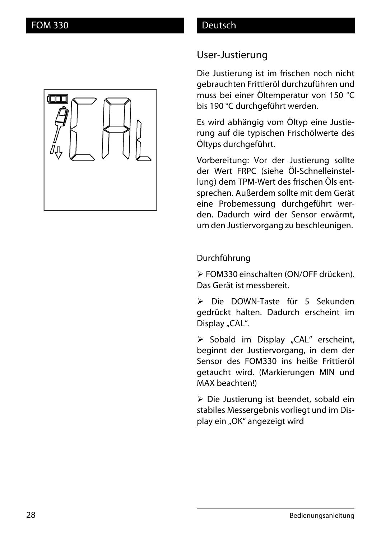## User-Justierung

Die Justierung ist im frischen noch nicht gebrauchten Frittieröl durchzuführen und muss bei einer Öltemperatur von 150 °C bis 190 °C durchgeführt werden.

Es wird abhängig vom Öltyp eine Justierung auf die typischen Frischölwerte des Öltyps durchgeführt.

Vorbereitung: Vor der Justierung sollte der Wert FRPC (siehe Öl-Schnelleinstellung) dem TPM-Wert des frischen Öls entsprechen. Außerdem sollte mit dem Gerät eine Probemessung durchgeführt werden. Dadurch wird der Sensor erwärmt, um den Justiervorgang zu beschleunigen.

### Durchführung

¾ FOM330 einschalten (ON/OFF drücken). Das Gerät ist messbereit.

¾ Die DOWN-Taste für 5 Sekunden gedrückt halten. Dadurch erscheint im Display "CAL".

 $\triangleright$  Sobald im Display "CAL" erscheint, beginnt der Justiervorgang, in dem der Sensor des FOM330 ins heiße Frittieröl getaucht wird. (Markierungen MIN und MAX beachten!)

¾ Die Justierung ist beendet, sobald ein stabiles Messergebnis vorliegt und im Display ein "OK" angezeigt wird

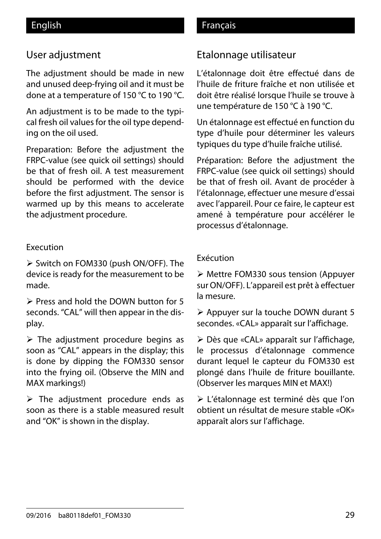## User adjustment

The adjustment should be made in new and unused deep-frying oil and it must be done at a temperature of 150 °C to 190 °C.

An adjustment is to be made to the typical fresh oil values for the oil type depending on the oil used.

Preparation: Before the adjustment the FRPC-value (see quick oil settings) should be that of fresh oil. A test measurement should be performed with the device before the first adjustment. The sensor is warmed up by this means to accelerate the adjustment procedure.

#### Execution

¾ Switch on FOM330 (push ON/OFF). The device is ready for the measurement to be made.

¾ Press and hold the DOWN button for 5 seconds. "CAL" will then appear in the display.

 $\triangleright$  The adjustment procedure begins as soon as "CAL" appears in the display; this is done by dipping the FOM330 sensor into the frying oil. (Observe the MIN and MAX markings!)

 $\triangleright$  The adjustment procedure ends as soon as there is a stable measured result and "OK" is shown in the display.

#### English Français

### Etalonnage utilisateur

L'étalonnage doit être effectué dans de l'huile de friture fraîche et non utilisée et doit être réalisé lorsque l'huile se trouve à une température de 150 °C à 190 °C.

Un étalonnage est effectué en function du type d'huile pour déterminer les valeurs typiques du type d'huile fraîche utilisé.

Préparation: Before the adjustment the FRPC-value (see quick oil settings) should be that of fresh oil. Avant de procéder à l'étalonnage, effectuer une mesure d'essai avec l'appareil. Pour ce faire, le capteur est amené à température pour accélérer le processus d'étalonnage.

#### Exécution

¾ Mettre FOM330 sous tension (Appuyer sur ON/OFF). L'appareil est prêt à effectuer la mesure.

¾ Appuyer sur la touche DOWN durant 5 secondes. «CAL» apparaît sur l'affichage.

¾ Dès que «CAL» apparaît sur l'affichage, le processus d'étalonnage commence durant lequel le capteur du FOM330 est plongé dans l'huile de friture bouillante. (Observer les marques MIN et MAX!)

¾ L'étalonnage est terminé dès que l'on obtient un résultat de mesure stable «OK» apparaît alors sur l'affichage.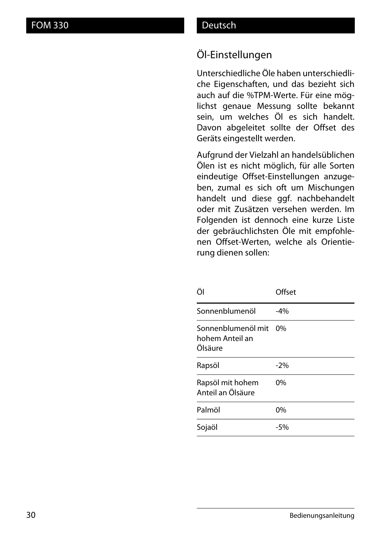## Öl-Einstellungen

Unterschiedliche Öle haben unterschiedliche Eigenschaften, und das bezieht sich auch auf die %TPM-Werte. Für eine möglichst genaue Messung sollte bekannt sein, um welches Öl es sich handelt. Davon abgeleitet sollte der Offset des Geräts eingestellt werden.

Aufgrund der Vielzahl an handelsüblichen Ölen ist es nicht möglich, für alle Sorten eindeutige Offset-Einstellungen anzugeben, zumal es sich oft um Mischungen handelt und diese ggf. nachbehandelt oder mit Zusätzen versehen werden. Im Folgenden ist dennoch eine kurze Liste der gebräuchlichsten Öle mit empfohlenen Offset-Werten, welche als Orientierung dienen sollen:

| Offset |
|--------|
| $-4%$  |
| $0\%$  |
| $-2%$  |
| 0%     |
| 0%     |
| $-5%$  |
|        |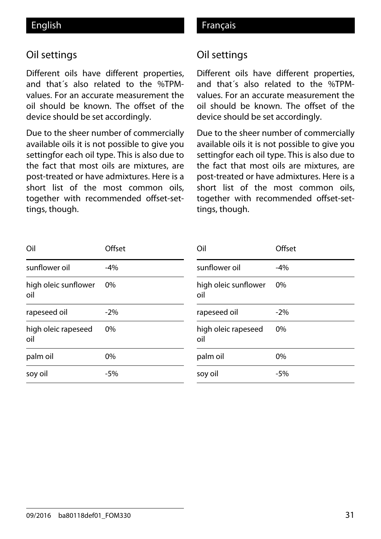## Oil settings

Different oils have different properties, and that´s also related to the %TPMvalues. For an accurate measurement the oil should be known. The offset of the device should be set accordingly.

Due to the sheer number of commercially available oils it is not possible to give you settingfor each oil type. This is also due to the fact that most oils are mixtures, are post-treated or have admixtures. Here is a short list of the most common oils, together with recommended offset-settings, though.

## English **Français**

### Oil settings

Different oils have different properties, and that´s also related to the %TPMvalues. For an accurate measurement the oil should be known. The offset of the device should be set accordingly.

Due to the sheer number of commercially available oils it is not possible to give you settingfor each oil type. This is also due to the fact that most oils are mixtures, are post-treated or have admixtures. Here is a short list of the most common oils, together with recommended offset-settings, though.

| Oil                         | Offset | Oil                         | Offset |
|-----------------------------|--------|-----------------------------|--------|
| sunflower oil               | $-4%$  | sunflower oil               | $-4%$  |
| high oleic sunflower<br>oil | 0%     | high oleic sunflower<br>oil | 0%     |
| rapeseed oil                | $-2\%$ | rapeseed oil                | $-2%$  |
| high oleic rapeseed<br>oil  | 0%     | high oleic rapeseed<br>oil  | 0%     |
| palm oil                    | 0%     | palm oil                    | 0%     |
| soy oil                     | $-5%$  | soy oil                     | $-5%$  |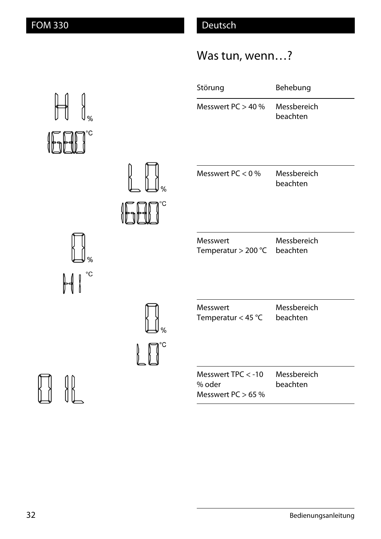# Was tun, wenn…?

|         | Störung                                               | Behebung                |
|---------|-------------------------------------------------------|-------------------------|
|         | Messwert $PC > 40 \%$                                 | Messbereich<br>beachten |
| ℅<br>°C | Messwert PC $< 0$ %                                   | Messbereich<br>beachten |
|         | Messwert<br>Temperatur $>$ 200 °C                     | Messbereich<br>beachten |
| ℅<br>°C | Messwert<br>Temperatur < 45 $^{\circ}$ C              | Messbereich<br>beachten |
|         | Messwert TPC < - 10<br>% oder<br>Messwert $PC > 65$ % | Messbereich<br>beachten |



 $\frac{1}{2}$ 

 $\begin{picture}(120,15) \put(0,0){\vector(0,1){30}} \put(15,0){\vector(0,1){30}} \put(15,0){\vector(0,1){30}} \put(15,0){\vector(0,1){30}} \put(15,0){\vector(0,1){30}} \put(15,0){\vector(0,1){30}} \put(15,0){\vector(0,1){30}} \put(15,0){\vector(0,1){30}} \put(15,0){\vector(0,1){30}} \put(15,0){\vector(0,1){30}} \put(15,0){\vector(0,1){30}} \put(15,0){\vector($ 

 $\begin{tabular}{|c|c|c|c|} \hline \quad \quad & \quad \quad & \quad \quad & \quad \quad \\ \hline \quad \quad & \quad \quad & \quad \quad & \quad \quad \\ \hline \quad \quad & \quad \quad & \quad \quad & \quad \quad \\ \hline \quad \quad & \quad \quad & \quad \quad \\ \hline \end{tabular}$ 

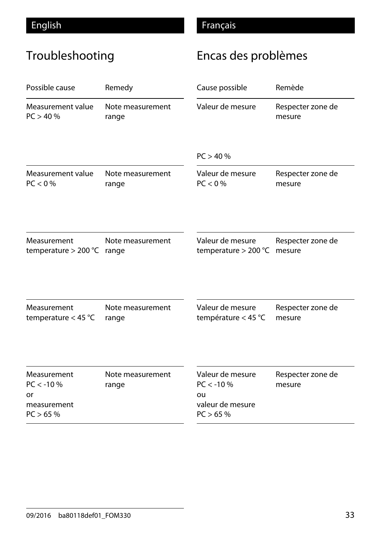# Troubleshooting

# Encas des problèmes

| Possible cause                                              | Remedy                    | Cause possible                                                        | Remède                      |
|-------------------------------------------------------------|---------------------------|-----------------------------------------------------------------------|-----------------------------|
| Measurement value                                           | Note measurement          | Valeur de mesure                                                      | Respecter zone de           |
| PC > 40%                                                    | range                     |                                                                       | mesure                      |
|                                                             |                           | PC > 40%                                                              |                             |
| Measurement value                                           | Note measurement          | Valeur de mesure                                                      | Respecter zone de           |
| PC < 0 %                                                    | range                     | $PC < 0$ %                                                            | mesure                      |
| Measurement                                                 | Note measurement          | Valeur de mesure                                                      | Respecter zone de           |
| temperature $>$ 200 °C                                      | range                     | temperature $>$ 200 °C                                                | mesure                      |
| Measurement                                                 | Note measurement          | Valeur de mesure                                                      | Respecter zone de           |
| temperature $<$ 45 °C                                       | range                     | température < 45 $^{\circ}$ C                                         | mesure                      |
| Measurement<br>$PC < -10%$<br>or<br>measurement<br>PC > 65% | Note measurement<br>range | Valeur de mesure<br>$PC < -10%$<br>ou<br>valeur de mesure<br>PC > 65% | Respecter zone de<br>mesure |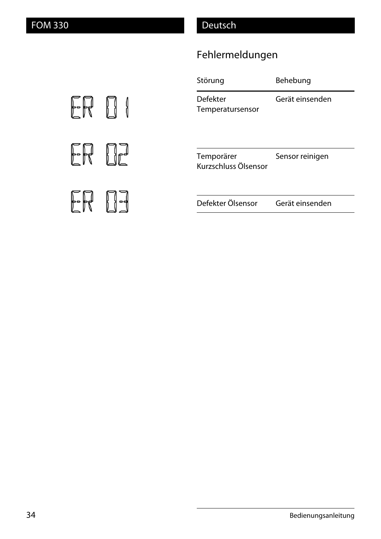# Fehlermeldungen

| Störung                            | Behebung        |
|------------------------------------|-----------------|
| Defekter<br>Temperatursensor       | Gerät einsenden |
| Temporärer<br>Kurzschluss Ölsensor | Sensor reinigen |
| Defekter Ölsensor                  | Gerät einsenden |

ER D I ER DE ER 03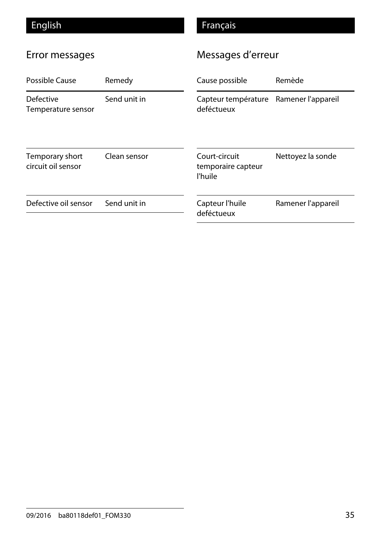# English Français

# Error messages

# Messages d'erreur

| Possible Cause                         | Remedy       | Cause possible                                 | Remède             |
|----------------------------------------|--------------|------------------------------------------------|--------------------|
| <b>Defective</b><br>Temperature sensor | Send unit in | Capteur température<br>deféctueux              | Ramener l'appareil |
| Temporary short<br>circuit oil sensor  | Clean sensor | Court-circuit<br>temporaire capteur<br>l'huile | Nettoyez la sonde  |
| Defective oil sensor                   | Send unit in | Capteur l'huile<br>deféctueux                  | Ramener l'appareil |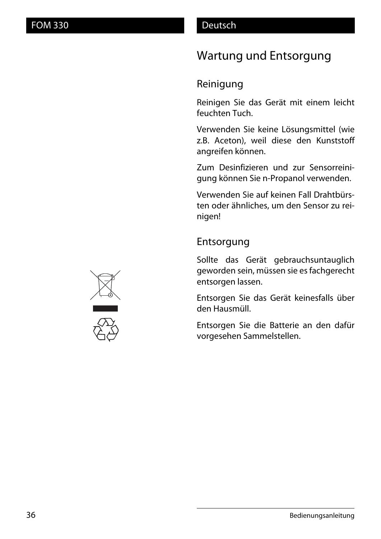# Wartung und Entsorgung

## Reinigung

Reinigen Sie das Gerät mit einem leicht feuchten Tuch.

Verwenden Sie keine Lösungsmittel (wie z.B. Aceton), weil diese den Kunststoff angreifen können.

Zum Desinfizieren und zur Sensorreinigung können Sie n-Propanol verwenden.

Verwenden Sie auf keinen Fall Drahtbürsten oder ähnliches, um den Sensor zu reinigen!

## Entsorgung

Sollte das Gerät gebrauchsuntauglich geworden sein, müssen sie es fachgerecht entsorgen lassen.

Entsorgen Sie das Gerät keinesfalls über den Hausmüll.

Entsorgen Sie die Batterie an den dafür vorgesehen Sammelstellen.



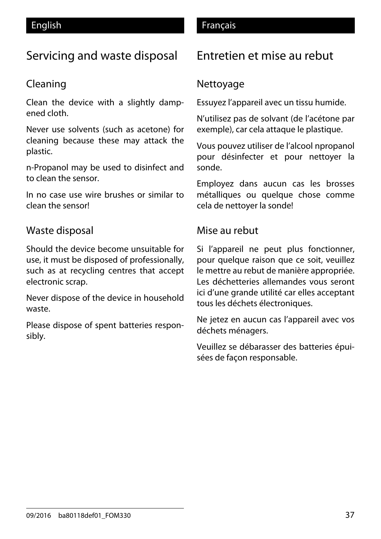# Servicing and waste disposal

## Cleaning

Clean the device with a slightly dampened cloth.

Never use solvents (such as acetone) for cleaning because these may attack the plastic.

n-Propanol may be used to disinfect and to clean the sensor.

In no case use wire brushes or similar to clean the sensor!

## Waste disposal

Should the device become unsuitable for use, it must be disposed of professionally, such as at recycling centres that accept electronic scrap.

Never dispose of the device in household waste.

Please dispose of spent batteries responsibly.

### English **Français**

# Entretien et mise au rebut

## **Nettoyage**

Essuyez l'appareil avec un tissu humide.

N'utilisez pas de solvant (de l'acétone par exemple), car cela attaque le plastique.

Vous pouvez utiliser de l'alcool npropanol pour désinfecter et pour nettoyer la sonde.

Employez dans aucun cas les brosses métalliques ou quelque chose comme cela de nettoyer la sonde!

## Mise au rebut

Si l'appareil ne peut plus fonctionner, pour quelque raison que ce soit, veuillez le mettre au rebut de manière appropriée. Les déchetteries allemandes vous seront ici d'une grande utilité car elles acceptant tous les déchets électroniques.

Ne jetez en aucun cas l'appareil avec vos déchets ménagers.

Veuillez se débarasser des batteries épuisées de façon responsable.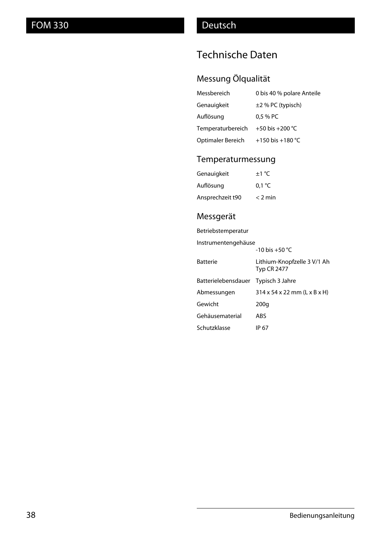# Technische Daten

## Messung Ölqualität

| Messbereich       | 0 bis 40 % polare Anteile |
|-------------------|---------------------------|
| Genauigkeit       | $\pm$ 2 % PC (typisch)    |
| Auflösung         | 0.5 % PC                  |
| Temperaturbereich | +50 bis +200 $^{\circ}$ C |
| Optimaler Bereich | +150 bis +180 °C          |

### Temperaturmessung

| Genauigkeit      | $\pm 1$ °C      |
|------------------|-----------------|
| Auflösung        | $0.1 \degree C$ |
| Ansprechzeit t90 | $<$ 2 min       |

## Messgerät

| Betriebstemperatur  |                                                   |  |
|---------------------|---------------------------------------------------|--|
| Instrumentengehäuse |                                                   |  |
|                     | $-10$ bis $+50$ °C                                |  |
| <b>Batterie</b>     | Lithium-Knopfzelle 3 V/1 Ah<br><b>Typ CR 2477</b> |  |
| Batterielebensdauer | Typisch 3 Jahre                                   |  |
| Abmessungen         | $314 \times 54 \times 22$ mm (L x B x H)          |  |
| Gewicht             | 200q                                              |  |
| Gehäusematerial     | ABS                                               |  |
| Schutzklasse        | IP 67                                             |  |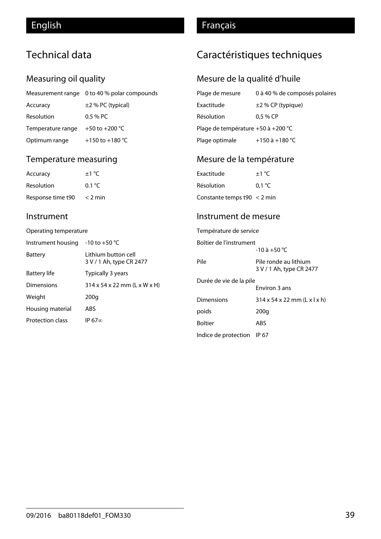# Technical data

### Measuring oil quality

|                   | Measurement range 0 to 40 % polar compounds |
|-------------------|---------------------------------------------|
| Accuracy          | $\pm$ 2 % PC (typical)                      |
| Resolution        | $0.5%$ PC                                   |
| Temperature range | +50 to +200 $^{\circ}$ C                    |
| Optimum range     | +150 to +180 $^{\circ}$ C                   |

### Temperature measuring

| Accuracy          | $+1 °C$        | Exactitude          |
|-------------------|----------------|---------------------|
| Resolution        | $0.1\degree$ C | Résolution          |
| Response time t90 | $<$ 2 min      | Constante temps t90 |

#### Instrument

#### Operating temperature

| Instrument housing      | $-10$ to $+50$ °C                                |
|-------------------------|--------------------------------------------------|
| <b>Battery</b>          | I ithium button cell<br>3 V / 1 Ah, type CR 2477 |
| <b>Battery life</b>     | Typically 3 years                                |
| Dimensions              | 314 x 54 x 22 mm (L x W x H)                     |
| Weight                  | 200g                                             |
| Housing material        | ABS                                              |
| <b>Protection class</b> | IP 67 $\infty$                                   |

## English **Français**

# Caractéristiques techniques

## Mesure de la qualité d'huile

| Plage de mesure                    | 0 à 40 % de composés polaires |
|------------------------------------|-------------------------------|
| Exactitude                         | $\pm$ 2 % CP (typique)        |
| Résolution                         | $0.5%$ CP                     |
| Plage de température +50 à +200 °C |                               |
| Plage optimale                     | +150 à +180 °C                |

## Mesure de la température

| Exactitude                    | $+1 °C$ |
|-------------------------------|---------|
| Résolution                    | 0.1 °C  |
| Constante temps $t90 < 2$ min |         |

#### Instrument de mesure

| Température de service     |                                                   |  |
|----------------------------|---------------------------------------------------|--|
| Boîtier de l'instrument    |                                                   |  |
|                            | $-10$ à $+50$ °C                                  |  |
| Pile                       | Pile ronde au lithium<br>3 V / 1 Ah, type CR 2477 |  |
| Durée de vie de la pile    |                                                   |  |
|                            | Environ 3 ans                                     |  |
| <b>Dimensions</b>          | $314 \times 54 \times 22$ mm (L x l x h)          |  |
| poids                      | 200q                                              |  |
| Boîtier                    | ABS                                               |  |
| Indice de protection IP 67 |                                                   |  |